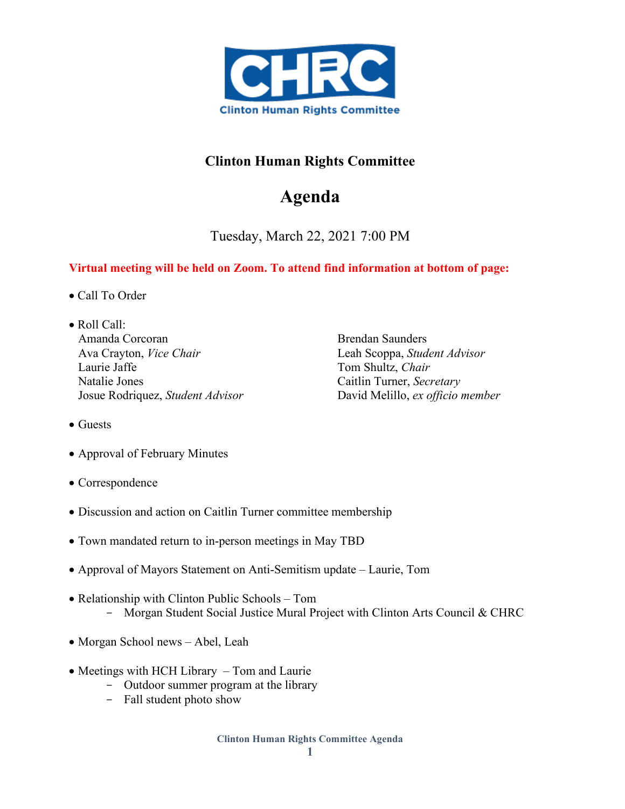

## **Clinton Human Rights Committee**

## **Agenda**

Tuesday, March 22, 2021 7:00 PM

## **Virtual meeting will be held on Zoom. To attend find information at bottom of page:**

- Call To Order
- Roll Call: Amanda Corcoran Ava Crayton, *Vice Chair* Laurie Jaffe Natalie Jones Josue Rodriquez, *Student Advisor*

Brendan Saunders Leah Scoppa, *Student Advisor*  Tom Shultz, *Chair* Caitlin Turner, *Secretary* David Melillo, *ex officio member*

- Guests
- Approval of February Minutes
- Correspondence
- Discussion and action on Caitlin Turner committee membership
- Town mandated return to in-person meetings in May TBD
- Approval of Mayors Statement on Anti-Semitism update Laurie, Tom
- Relationship with Clinton Public Schools Tom - Morgan Student Social Justice Mural Project with Clinton Arts Council & CHRC
- Morgan School news Abel, Leah
- Meetings with HCH Library Tom and Laurie
	- Outdoor summer program at the library
	- Fall student photo show

**Clinton Human Rights Committee Agenda**